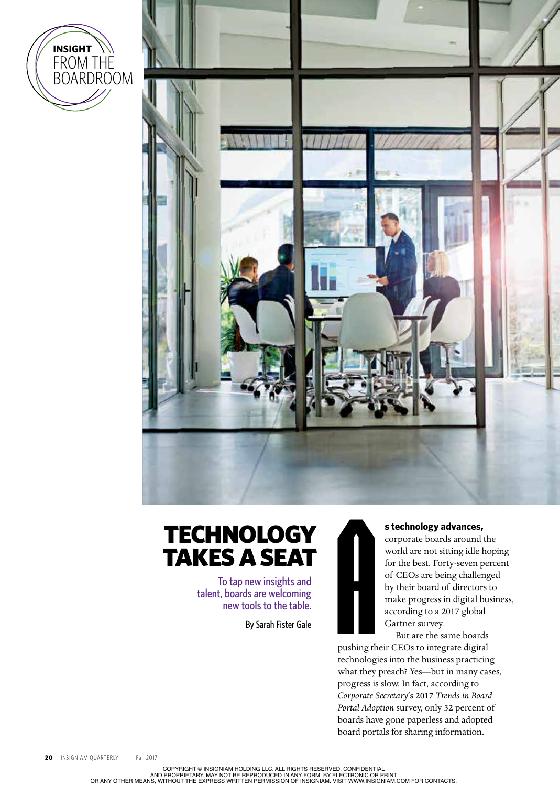



# **TECHNOLOGY** TAKES A SEAT

To tap new insights and talent, boards are welcoming new tools to the table.

By Sarah Fister Gale



### **s technology advances,**

corporate boards around the world are not sitting idle hoping for the best. Forty-seven percent of CEOs are being challenged by their board of directors to make progress in digital business, according to a 2017 global Gartner survey.

But are the same boards pushing their CEOs to integrate digital technologies into the business practicing what they preach? Yes—but in many cases, progress is slow. In fact, according to *Corporate Secretary*'s 2017 *Trends in Board Portal Adoption* survey, only 32 percent of boards have gone paperless and adopted board portals for sharing information.

COPYRIGHT © INSIGNIAM HOLDING LLC. ALL RIGHTS RESERVED. CONFIDENTIAL<br>AND PROPRIETARY. MAY NOT BE REPRODUCED IN ANY FORM, BY ELECTRONIC OR PRINT<br>OR ANY OTHER MEANS, WITHOUT THE EXPRESS WRITTEN PERMISSION OF INSIGNIAM. VISI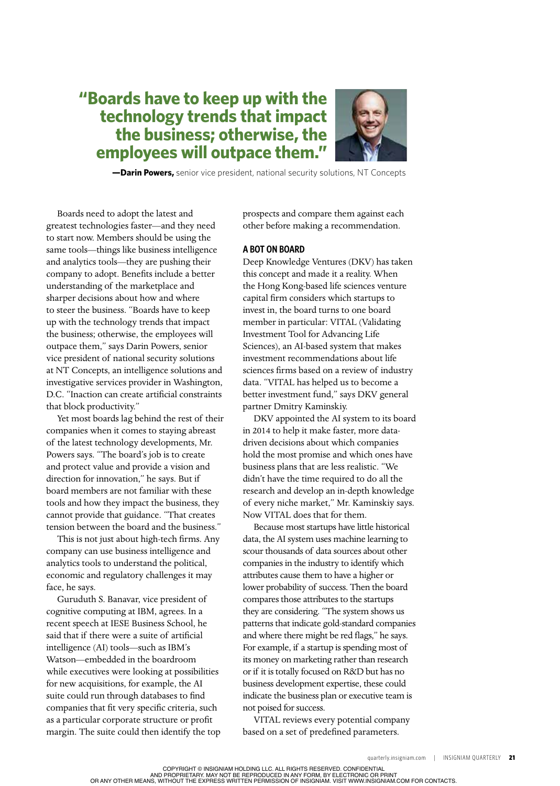# **"Boards have to keep up with the technology trends that impact the business; otherwise, the employees will outpace them."**



 **—Darin Powers,** senior vice president, national security solutions, NT Concepts

Boards need to adopt the latest and greatest technologies faster—and they need to start now. Members should be using the same tools—things like business intelligence and analytics tools—they are pushing their company to adopt. Benefts include a better understanding of the marketplace and sharper decisions about how and where to steer the business. "Boards have to keep up with the technology trends that impact the business; otherwise, the employees will outpace them," says Darin Powers, senior vice president of national security solutions at NT Concepts, an intelligence solutions and investigative services provider in Washington, D.C. "Inaction can create artifcial constraints that block productivity."

Yet most boards lag behind the rest of their companies when it comes to staying abreast of the latest technology developments, Mr. Powers says. "The board's job is to create and protect value and provide a vision and direction for innovation," he says. But if board members are not familiar with these tools and how they impact the business, they cannot provide that guidance. "That creates tension between the board and the business."

This is not just about high-tech frms. Any company can use business intelligence and analytics tools to understand the political, economic and regulatory challenges it may face, he says.

Guruduth S. Banavar, vice president of cognitive computing at IBM, agrees. In a recent speech at IESE Business School, he said that if there were a suite of artifcial intelligence (AI) tools—such as IBM's Watson—embedded in the boardroom while executives were looking at possibilities for new acquisitions, for example, the AI suite could run through databases to fnd companies that ft very specifc criteria, such as a particular corporate structure or proft margin. The suite could then identify the top prospects and compare them against each other before making a recommendation.

#### **A BOT ON BOARD**

Deep Knowledge Ventures (DKV) has taken this concept and made it a reality. When the Hong Kong-based life sciences venture capital frm considers which startups to invest in, the board turns to one board member in particular: VITAL (Validating Investment Tool for Advancing Life Sciences), an AI-based system that makes investment recommendations about life sciences frms based on a review of industry data. "VITAL has helped us to become a better investment fund," says DKV general partner Dmitry Kaminskiy.

DKV appointed the AI system to its board in 2014 to help it make faster, more datadriven decisions about which companies hold the most promise and which ones have business plans that are less realistic. "We didn't have the time required to do all the research and develop an in-depth knowledge of every niche market," Mr. Kaminskiy says. Now VITAL does that for them.

Because most startups have little historical data, the AI system uses machine learning to scour thousands of data sources about other companies in the industry to identify which attributes cause them to have a higher or lower probability of success. Then the board compares those attributes to the startups they are considering. "The system shows us patterns that indicate gold-standard companies and where there might be red fags," he says. For example, if a startup is spending most of its money on marketing rather than research or if it is totally focused on R&D but has no business development expertise, these could indicate the business plan or executive team is not poised for success.

VITAL reviews every potential company based on a set of predefned parameters.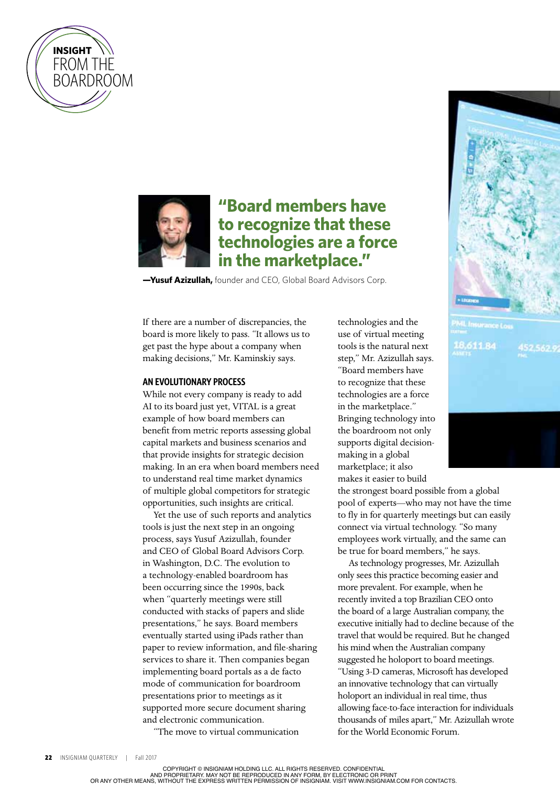



# **"Board members have to recognize that these technologies are a force in the marketplace."**

**—Yusuf Azizullah,** founder and CEO, Global Board Advisors Corp.

If there are a number of discrepancies, the board is more likely to pass. "It allows us to get past the hype about a company when making decisions," Mr. Kaminskiy says.

## **AN EVOLUTIONARY PROCESS**

While not every company is ready to add AI to its board just yet, VITAL is a great example of how board members can benefit from metric reports assessing global capital markets and business scenarios and that provide insights for strategic decision making. In an era when board members need to understand real time market dynamics of multiple global competitors for strategic opportunities, such insights are critical.

Yet the use of such reports and analytics tools is just the next step in an ongoing process, says Yusuf Azizullah, founder and CEO of Global Board Advisors Corp. in Washington, D.C. The evolution to a technology-enabled boardroom has been occurring since the 1990s, back when "quarterly meetings were still conducted with stacks of papers and slide presentations," he says. Board members eventually started using iPads rather than paper to review information, and fle-sharing services to share it. Then companies began implementing board portals as a de facto mode of communication for boardroom presentations prior to meetings as it supported more secure document sharing and electronic communication.

"The move to virtual communication

technologies and the use of virtual meeting tools is the natural next step," Mr. Azizullah says. "Board members have to recognize that these technologies are a force in the marketplace." Bringing technology into the boardroom not only supports digital decisionmaking in a global marketplace; it also makes it easier to build

the strongest board possible from a global pool of experts—who may not have the time to fly in for quarterly meetings but can easily connect via virtual technology. "So many employees work virtually, and the same can be true for board members," he says.

As technology progresses, Mr. Azizullah only sees this practice becoming easier and more prevalent. For example, when he recently invited a top Brazilian CEO onto the board of a large Australian company, the executive initially had to decline because of the travel that would be required. But he changed his mind when the Australian company suggested he holoport to board meetings. "Using 3-D cameras, Microsoft has developed an innovative technology that can virtually holoport an individual in real time, thus allowing face-to-face interaction for individuals thousands of miles apart," Mr. Azizullah wrote for the World Economic Forum.





COPYRIGHT © INSIGNIAM HOLDING LLC. ALL RIGHTS RESERVED. CONFIDENTIAL

AND PROPRIETARY. MAY NOT BE REPRODUCED IN ANY FORM, BY ELECTRONIC OR PRINT<br>OR ANY OTHER MEANS, WITHOUT THE EXPRESS WRITTEN PERMISSION OF INSIGNIAM. VISIT WWW.INSIGNIAM.COM FOR CONTACTS.